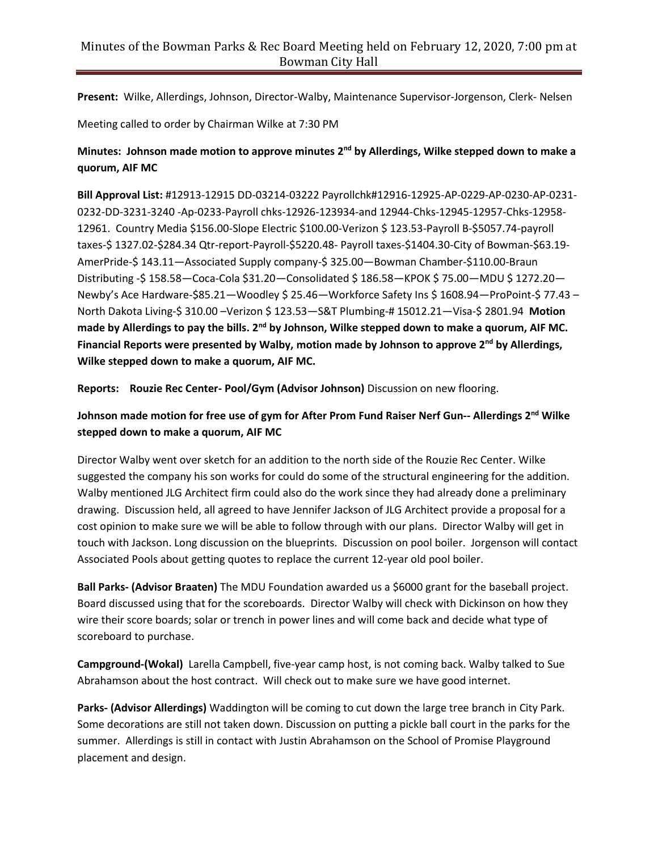**Present:** Wilke, Allerdings, Johnson, Director-Walby, Maintenance Supervisor-Jorgenson, Clerk- Nelsen

Meeting called to order by Chairman Wilke at 7:30 PM

## **Minutes: Johnson made motion to approve minutes 2 nd by Allerdings, Wilke stepped down to make a quorum, AIF MC**

**Bill Approval List:** #12913-12915 DD-03214-03222 Payrollchk#12916-12925-AP-0229-AP-0230-AP-0231- 0232-DD-3231-3240 -Ap-0233-Payroll chks-12926-123934-and 12944-Chks-12945-12957-Chks-12958- 12961. Country Media \$156.00-Slope Electric \$100.00-Verizon \$ 123.53-Payroll B-\$5057.74-payroll taxes-\$ 1327.02-\$284.34 Qtr-report-Payroll-\$5220.48- Payroll taxes-\$1404.30-City of Bowman-\$63.19- AmerPride-\$ 143.11—Associated Supply company-\$ 325.00—Bowman Chamber-\$110.00-Braun Distributing -\$ 158.58—Coca-Cola \$31.20—Consolidated \$ 186.58—KPOK \$ 75.00—MDU \$ 1272.20— Newby's Ace Hardware-\$85.21—Woodley \$ 25.46—Workforce Safety Ins \$ 1608.94—ProPoint-\$ 77.43 – North Dakota Living-\$ 310.00 –Verizon \$ 123.53—S&T Plumbing-# 15012.21—Visa-\$ 2801.94 **Motion made by Allerdings to pay the bills. 2nd by Johnson, Wilke stepped down to make a quorum, AIF MC. Financial Reports were presented by Walby, motion made by Johnson to approve 2nd by Allerdings, Wilke stepped down to make a quorum, AIF MC.**

**Reports: Rouzie Rec Center- Pool/Gym (Advisor Johnson)** Discussion on new flooring.

## **Johnson made motion for free use of gym for After Prom Fund Raiser Nerf Gun-- Allerdings 2 nd Wilke stepped down to make a quorum, AIF MC**

Director Walby went over sketch for an addition to the north side of the Rouzie Rec Center. Wilke suggested the company his son works for could do some of the structural engineering for the addition. Walby mentioned JLG Architect firm could also do the work since they had already done a preliminary drawing. Discussion held, all agreed to have Jennifer Jackson of JLG Architect provide a proposal for a cost opinion to make sure we will be able to follow through with our plans. Director Walby will get in touch with Jackson. Long discussion on the blueprints. Discussion on pool boiler. Jorgenson will contact Associated Pools about getting quotes to replace the current 12-year old pool boiler.

**Ball Parks- (Advisor Braaten)** The MDU Foundation awarded us a \$6000 grant for the baseball project. Board discussed using that for the scoreboards. Director Walby will check with Dickinson on how they wire their score boards; solar or trench in power lines and will come back and decide what type of scoreboard to purchase.

**Campground-(Wokal)** Larella Campbell, five-year camp host, is not coming back. Walby talked to Sue Abrahamson about the host contract. Will check out to make sure we have good internet.

**Parks- (Advisor Allerdings)** Waddington will be coming to cut down the large tree branch in City Park. Some decorations are still not taken down. Discussion on putting a pickle ball court in the parks for the summer. Allerdings is still in contact with Justin Abrahamson on the School of Promise Playground placement and design.